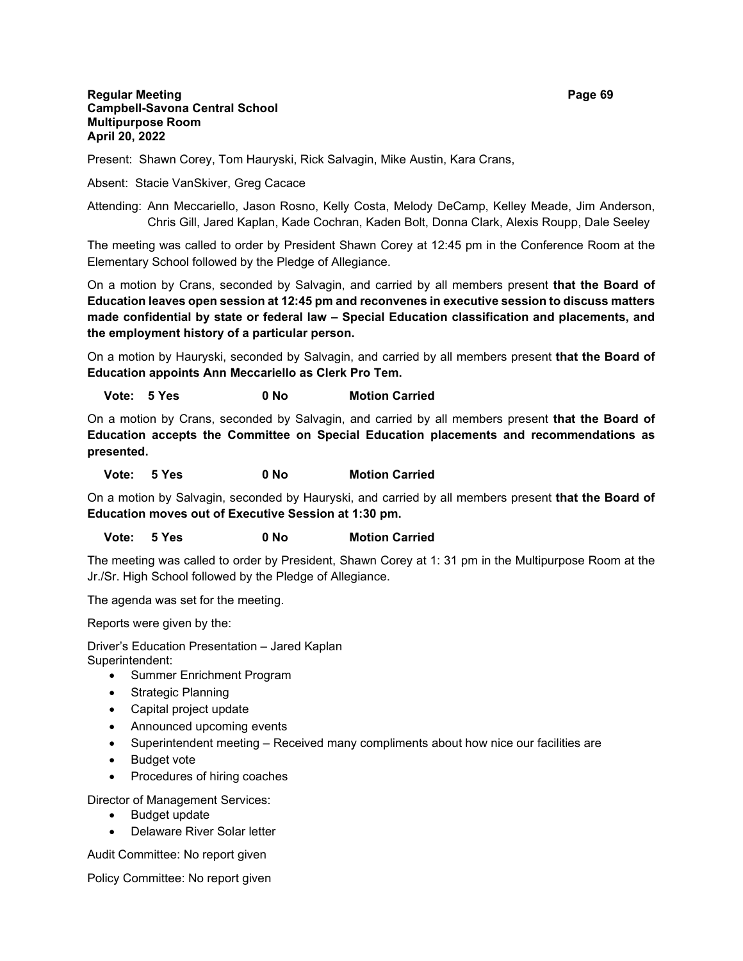#### **Regular Meeting Page 69 Campbell-Savona Central School Multipurpose Room April 20, 2022**

Present: Shawn Corey, Tom Hauryski, Rick Salvagin, Mike Austin, Kara Crans,

Absent: Stacie VanSkiver, Greg Cacace

Attending: Ann Meccariello, Jason Rosno, Kelly Costa, Melody DeCamp, Kelley Meade, Jim Anderson, Chris Gill, Jared Kaplan, Kade Cochran, Kaden Bolt, Donna Clark, Alexis Roupp, Dale Seeley

The meeting was called to order by President Shawn Corey at 12:45 pm in the Conference Room at the Elementary School followed by the Pledge of Allegiance.

On a motion by Crans, seconded by Salvagin, and carried by all members present **that the Board of Education leaves open session at 12:45 pm and reconvenes in executive session to discuss matters made confidential by state or federal law – Special Education classification and placements, and the employment history of a particular person.**

On a motion by Hauryski, seconded by Salvagin, and carried by all members present **that the Board of Education appoints Ann Meccariello as Clerk Pro Tem.**

# **Vote: 5 Yes 0 No Motion Carried**

On a motion by Crans, seconded by Salvagin, and carried by all members present **that the Board of Education accepts the Committee on Special Education placements and recommendations as presented.**

 **Vote: 5 Yes 0 No Motion Carried**

On a motion by Salvagin, seconded by Hauryski, and carried by all members present **that the Board of Education moves out of Executive Session at 1:30 pm.**

## **Vote: 5 Yes 0 No Motion Carried**

The meeting was called to order by President, Shawn Corey at 1: 31 pm in the Multipurpose Room at the Jr./Sr. High School followed by the Pledge of Allegiance.

The agenda was set for the meeting.

Reports were given by the:

Driver's Education Presentation – Jared Kaplan Superintendent:

- Summer Enrichment Program
- Strategic Planning
- Capital project update
- Announced upcoming events
- Superintendent meeting Received many compliments about how nice our facilities are
- Budget vote
- Procedures of hiring coaches
- Director of Management Services:
	- Budget update
	- Delaware River Solar letter

Audit Committee: No report given

Policy Committee: No report given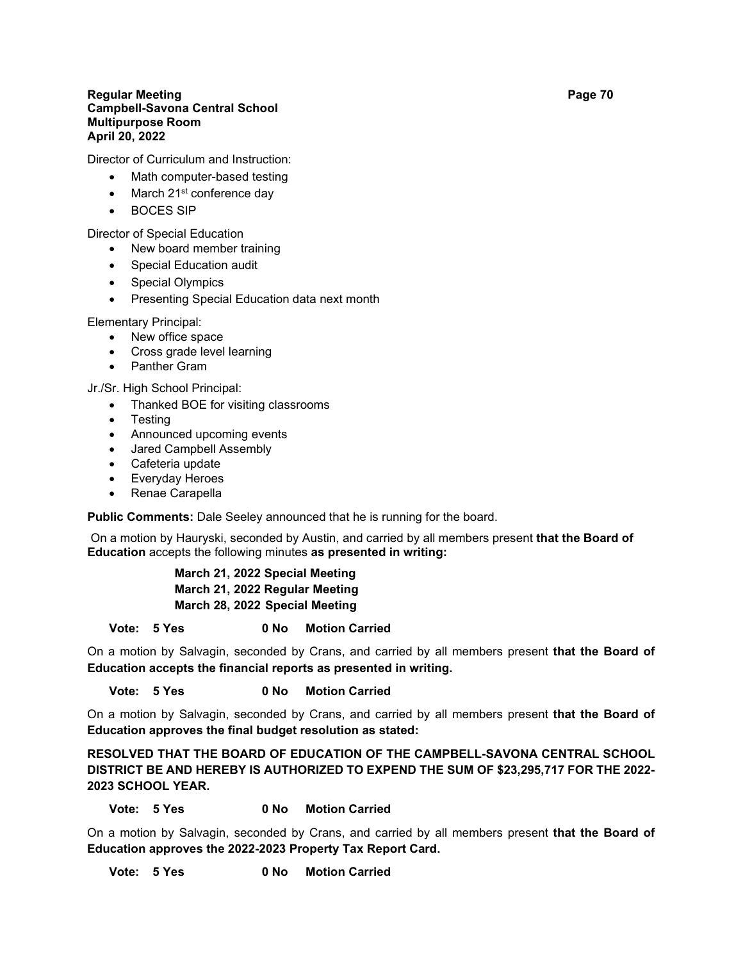#### **Regular Meeting Page 70 Campbell-Savona Central School Multipurpose Room April 20, 2022**

Director of Curriculum and Instruction:

- Math computer-based testing
- March 21<sup>st</sup> conference day
- BOCES SIP

Director of Special Education

- New board member training
- Special Education audit
- Special Olympics
- Presenting Special Education data next month

Elementary Principal:

- New office space
- Cross grade level learning
- Panther Gram

Jr./Sr. High School Principal:

- Thanked BOE for visiting classrooms
- **Testing**
- Announced upcoming events
- Jared Campbell Assembly
- Cafeteria update
- Everyday Heroes
- Renae Carapella

**Public Comments:** Dale Seeley announced that he is running for the board.

On a motion by Hauryski, seconded by Austin, and carried by all members present **that the Board of Education** accepts the following minutes **as presented in writing:**

> **March 21, 2022 Special Meeting March 21, 2022 Regular Meeting March 28, 2022 Special Meeting**

**Vote: 5 Yes 0 No Motion Carried**

On a motion by Salvagin, seconded by Crans, and carried by all members present **that the Board of Education accepts the financial reports as presented in writing.**

# **Vote: 5 Yes 0 No Motion Carried**

On a motion by Salvagin, seconded by Crans, and carried by all members present **that the Board of Education approves the final budget resolution as stated:**

**RESOLVED THAT THE BOARD OF EDUCATION OF THE CAMPBELL-SAVONA CENTRAL SCHOOL DISTRICT BE AND HEREBY IS AUTHORIZED TO EXPEND THE SUM OF \$23,295,717 FOR THE 2022- 2023 SCHOOL YEAR.**

# **Vote: 5 Yes 0 No Motion Carried**

On a motion by Salvagin, seconded by Crans, and carried by all members present **that the Board of Education approves the 2022-2023 Property Tax Report Card.**

**Vote: 5 Yes 0 No Motion Carried**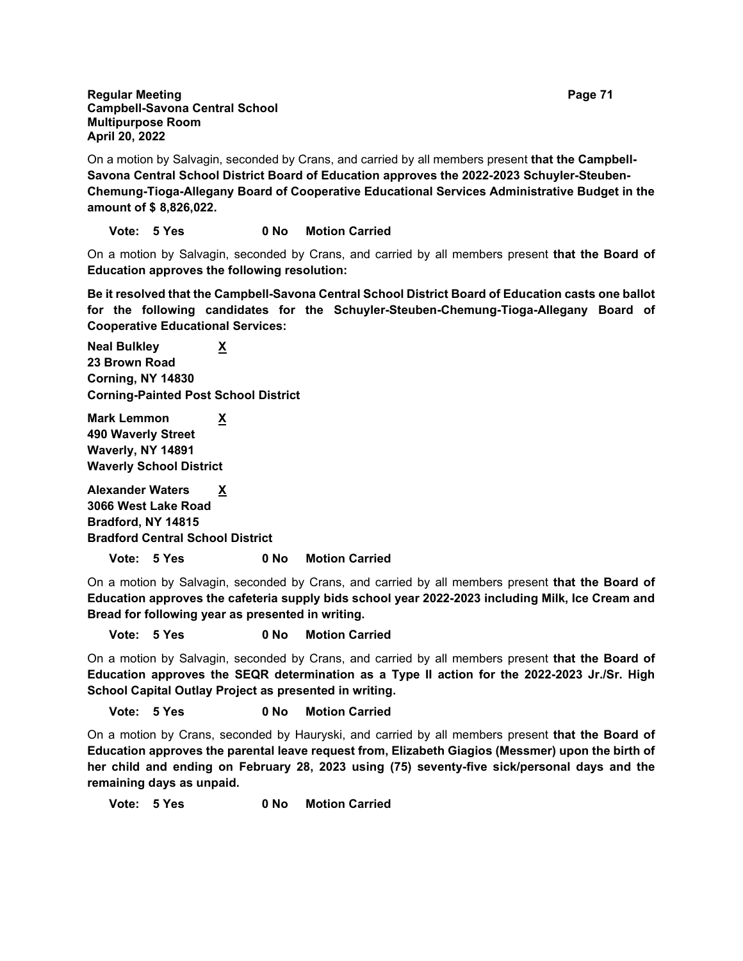**Regular Meeting Page 71 Campbell-Savona Central School Multipurpose Room April 20, 2022**

On a motion by Salvagin, seconded by Crans, and carried by all members present **that the Campbell-Savona Central School District Board of Education approves the 2022-2023 Schuyler-Steuben-Chemung-Tioga-Allegany Board of Cooperative Educational Services Administrative Budget in the amount of \$ 8,826,022.**

# **Vote: 5 Yes 0 No Motion Carried**

On a motion by Salvagin, seconded by Crans, and carried by all members present **that the Board of Education approves the following resolution:**

**Be it resolved that the Campbell-Savona Central School District Board of Education casts one ballot for the following candidates for the Schuyler-Steuben-Chemung-Tioga-Allegany Board of Cooperative Educational Services:**

**Neal Bulkley X 23 Brown Road Corning, NY 14830 Corning-Painted Post School District**

**Mark Lemmon X 490 Waverly Street Waverly, NY 14891 Waverly School District**

**Alexander Waters X 3066 West Lake Road Bradford, NY 14815 Bradford Central School District**

**Vote: 5 Yes 0 No Motion Carried**

On a motion by Salvagin, seconded by Crans, and carried by all members present **that the Board of Education approves the cafeteria supply bids school year 2022-2023 including Milk, Ice Cream and Bread for following year as presented in writing.**

**Vote: 5 Yes 0 No Motion Carried**

On a motion by Salvagin, seconded by Crans, and carried by all members present **that the Board of Education approves the SEQR determination as a Type II action for the 2022-2023 Jr./Sr. High School Capital Outlay Project as presented in writing.**

## **Vote: 5 Yes 0 No Motion Carried**

On a motion by Crans, seconded by Hauryski, and carried by all members present **that the Board of Education approves the parental leave request from, Elizabeth Giagios (Messmer) upon the birth of her child and ending on February 28, 2023 using (75) seventy-five sick/personal days and the remaining days as unpaid.**

**Vote: 5 Yes 0 No Motion Carried**